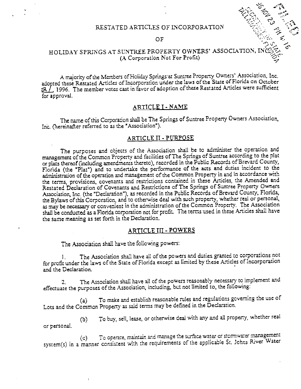# RESTATED ARTICLES OF INCORPORATION

### OF

# ASSESSMENT ROOM HOLIDAY SPRINGS AT SUNTREE PROPERTY OWNERS' ASSOCIATION, IN (A Corporation Not For Profit)

A majority of the Members of Holiday Springs at Suntree Property Owners' Association, Inc. adopted these Restated Articles of Incorporation under the laws of the State of Florida on October 21. 1996. The member votes cast in favor of adoption of these Restated Articles were sufficient for approval.

## ARTICLE I - NAME

The name of this Corporation shall be The Springs of Suntree Property Owners Association. Inc. (hereinafter referred to as the "Association").

### ARTICLE II - PURPOSE

The purposes and objects of the Association shall be to administer the operation and management of the Common Property and facilities of The Springs of Suntree according to the plat or plats thereof (including amendments thereto), recorded in the Public Records of Brevard County, Florida (the "Plat") and to undertake the performance of the acts and duties incident to the administration of the operation and management of the Common Property in and in accordance with the terms, provisions, covenants and restrictions contained in these Articles, the Amended and Restated Declaration of Covenants and Restrictions of The Springs of Suntree Property Owners Association, Inc. (the "Declaration"), as recorded in the Public Records of Brevard County, Florida. the Bylaws of this Corporation, and to otherwise deal with such property, whether real or personal, as may be necessary or convenient in the administration of the Common Property. The Association shall be conducted as a Florida corporation not for profit. The terms used in these Articles shall have the same meaning as set forth in the Declaration.

# **ARTICLE III - POWERS**

The Association shall have the following powers:

The Association shall have all of the powers and duties granted to corporations not for profit under the laws of the State of Florida except as limited by these Articles of Incorporation and the Declaration.

The Association shall have all of the powers reasonably necessary to implement and  $\overline{2}$ . effectuate the purposes of the Association, including, but not limited to, the following:

To make and establish reasonable rules and regulations governing the use of  $(a)$ Lots and the Common Property as said terms may be defined in the Declaration.

To buy, sell, lease, or otherwise deal with any and all property, whether real (b) or personal.

To operate, maintain and manage the surface water or stormwater management  $(c)$ system(s) in a manner consistent with the requirements of the applicable St. Johns River Water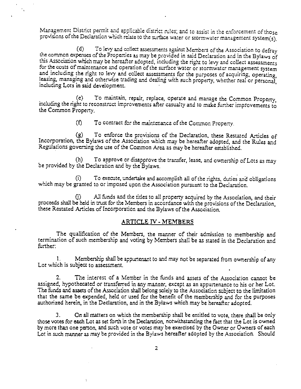Management District permit and applicable district rules; and to assist in the enforcement of those provisions of the Declaration which relate to the surface water or stormwater management system(s).

 $\overline{\phantom{a}}$  ,

(d) To levy and collect assessments against Members of the Association to defray the common expenses of the Properties as may be provided in said Declaration and in the Bylaws of this Association which may be hereafter adopted, including the right to levy and collect assessments for the costs of maintenance and operation of the surface water or stormwater management system and including the right to levy and collect assessments for the purposes of acquiring, operating, leasing, managing and otherwise trading and dealing with such property, whether real or personal, including Lots in said development.

(e) to maintain, repair, replace, operate and manage the Common Property, including the right to reconstruct improvements after casualty and to make further improvements to the Common Property.

(0 To contract for the maintenance of the Common Property.

(g) To enforce the provisions of the Declaration, these Restated Articles of Incorporation, the Bylaws of the Association which may be hereafter adopted, and the Rules and Regulations governing the use of the Common Area as may be hereafter established.

(h) To approve or disapprove the transfer, lease, and ownership of Lots as may be provided by the Declaration and by the Bylaws.

(1) To execute, undertaice and accomplish all of the rights, duties and obligations which may be granted to or imposed upon the Association pursuant to the Declaration.

Ci) All funds and the titles to all property acquired by the Association, and their proceeds shall be held in rust for the Members in accordance with the provisions of the Declaration, these Restated Articles of rnccrporaticn and the Bylaws of the Association,

#### ARTICLE IV - MEMBERS

The qualification of the Members, the manner of their admission to membership and termination of such membership and voting by Members shall be as stated in the Declaration and further:

1. Membership shall be appurtenant to and may not be separated from ownership of any Lot which is subject to assessment.

The interest of a Member in the funds and assets of the Association cannot be assigned, hypothecated or transferred in any manner, except as an appurtenance to his or her Lot. The funds and assets of the Association shall belong solely to the Association subject to the limitation that the same be expended, held or used for the benefit of the membership and for the purposes authorized herein, in the Declaration, and in the Bylaws which may be hereafter adopted.

3. On all matters on which the membership shall be entitled to vote, there shall be only those votes for each Lot as set forth in the Declaration, notwithstanding the fact that the Lot is owned by more than one person, and such vote or votes may be exercised by the Owner or Owners of each Lot in such manner as may be provided in the Bylaws hereafter adopted by the Association. Should

2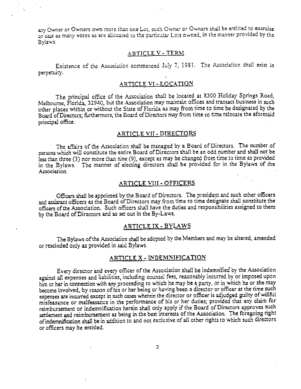any Owner or Owners own more than one Lot, such Owner or Owners shall be entitled to exercise or cast as many votes as are allocated to the particular Lots owned, in the manner provided by the Bylaws.

#### ARTICLE V - TERM

Existence of the Association commenced July 7, 1981. The Association shall exist in perpetuity.

-

#### ARTICLE VI - LOCATION

The principal office of the Association shall be located at 8300 Holiday Springs Road, Melbourne. Florida, 32940, but the Association may maintain offices and transact business in such other places within or without the State of Florida as may from time to time be designated by the Board of Directors; fbrtherrnore. the Board of Directors may from time to time relocate the aforesaid principal office.

# ARTICLE VII- DIRECTORS

The affairs of the Association shall be managed by a Board of Directors. The number of persons which will constitute the entire Board of Directors shall be an odd number and shall not be less than three (3) nor more than nine (9), except as may be changed from time to time as provided in the Bylaws. The manner of electing directors shall be provided for in the Bylaws of the Association.

# ARTICLE VIII- OFFICERS

Officers shall be appointed by the Board of Directors. The president and such other officers and assistant officers as the Board of Directors may from time to time designate shall constitute the officers of the Association. Such officers shall have the duties and responsibilities assigned to them by the Board of Directors and as set out in the By-Laws.

#### ARTICLE IX - BYLAWS

The Bylaws of the Association shall be adopted by the Members and may be altered, amended or rescinded only as provided in said Bylaws.

# ARTICLE X - INDEMNIFICATION

Every director and every officer of' the Association shall be indemnified by the Association against all expenses and liabilities, including counsel fees, reasonably incurred by or imposed upon him or her in connection with any proceeding to which he may be a party, or in which he orshe may become involved, by reason of his or her being or having been a director or officer at the time such expenses are incurred except in such cases wherein the director or officer is adjudged guilty of willful misfeasance or malfeasance in the performance of his or her duties; provided that any claim for reimbursement or indemnication herein shall only apply if the Board of Directors approves such settlement and reimbursement as being in the best interests of the Association. The foregoing right of indemnification shall be in addition to and not exclusive of all other rights to which such directors or officers may be entitled.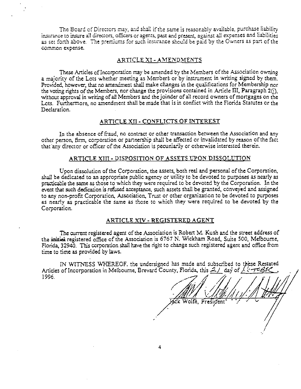The Board of Directors may, and shall if the same is reasonably available, purchase liability insurance to insure all directors, officers or agents, past and present, against all expenses and liabilities as set forth above. The premiums for such insurance should be paid by the Owners as part of the common expense.

#### ARTICLE XT - AMENDMENTS

These Articles of incorporation may be amended by the Members of the Association owning a majority of the Lots whether meeting as Members or by instrument in writing signed by them. Provided, however, that no amendment shall make changes in the qualifications for Membership nor the voting rights of the Members, nor change the provisions contained in Article  $\pi$ , Paragraph 2(j), without approval in writing of all Members and the joinder of all record owners of mortgages on the Lots. Furthermore, no amendment shall be made that is in conflict viith the Florida Statutes or the Declaration.

# ARTICLE XII - CONFLICTS OF INTEREST

In the absence of fraud, no contract or other transaction between the Association and any other person, firm, corporation or partnership shall be affected or invalidated by reason of the fact that any director or officer of the Association is pecuniarily or otherwise interested therein.

#### ARTICLE XIII - DISPOSITION OF ASSETS UPON DISSOLUTION

Upon dissolution of the Corporation, the assets, both real and personal of the Corporation, shall be dedicated to an appropriate public agency or utility to be devoted to purpdses as nearly as practicable the same as those to which they were required to be devoted by the Corporation. in the event that such dedication is refused acceptance, such assets shall be granted, conveyed and assigned to any non-profit Corporation, A.sscciaticn, Trust or other organization to be devoted to purposes as nearly as practicable the same as those to which they were required to be devoted by th Corporation.

# ARTICLE XIV - REGISTERED AGENT

The current registered agent of the Association is Robert M. Kush and the street address of the initial registered office of the Association is 6767 N. Wickham Road, Suite 500, Melbourne, Florida, 32940. This corporation shall have the right to change such registered agent and office from time to time as provided by laws.

IN WITNESS WHEREOF, the undersigned has made and subscribed to these Restated Articles of Incorporation in Melbourne, Brevard County, Florida, this  $\mathcal{I}/\text{day}$  of  $\sqrt{3}$ 1996.